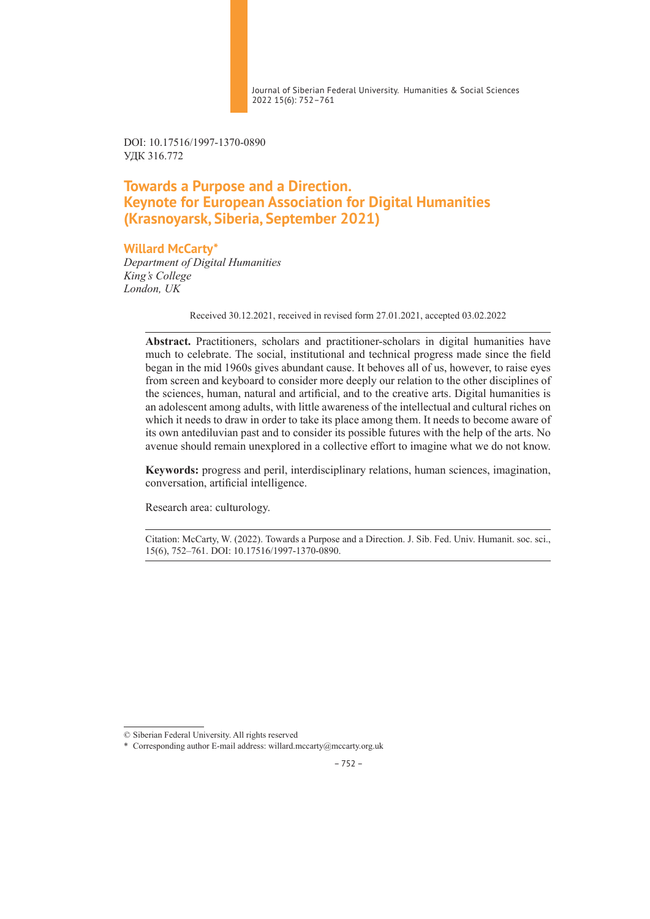Journal of Siberian Federal University. Humanities & Social Sciences 2022 15(6): 752–761

DOI: 10.17516/1997-1370-0890 УДК 316.772

# **Towards a Purpose and a Direction. Keynote for European Association for Digital Humanities (Krasnoyarsk, Siberia, September 2021)**

### **Willard McCarty\***

*Department of Digital Humanities King's College London, UK*

Received 30.12.2021, received in revised form 27.01.2021, accepted 03.02.2022

**Abstract.** Practitioners, scholars and practitioner-scholars in digital humanities have much to celebrate. The social, institutional and technical progress made since the field began in the mid 1960s gives abundant cause. It behoves all of us, however, to raise eyes from screen and keyboard to consider more deeply our relation to the other disciplines of the sciences, human, natural and artificial, and to the creative arts. Digital humanities is an adolescent among adults, with little awareness of the intellectual and cultural riches on which it needs to draw in order to take its place among them. It needs to become aware of its own antediluvian past and to consider its possible futures with the help of the arts. No avenue should remain unexplored in a collective effort to imagine what we do not know.

**Keywords:** progress and peril, interdisciplinary relations, human sciences, imagination, conversation, artificial intelligence.

Research area: culturology.

Citation: McCarty, W. (2022). Towards a Purpose and a Direction. J. Sib. Fed. Univ. Humanit. soc. sci., 15(6), 752–761. DOI: 10.17516/1997-1370-0890.

<sup>©</sup> Siberian Federal University. All rights reserved

<sup>\*</sup> Corresponding author E-mail address: willard.mccarty@mccarty.org.uk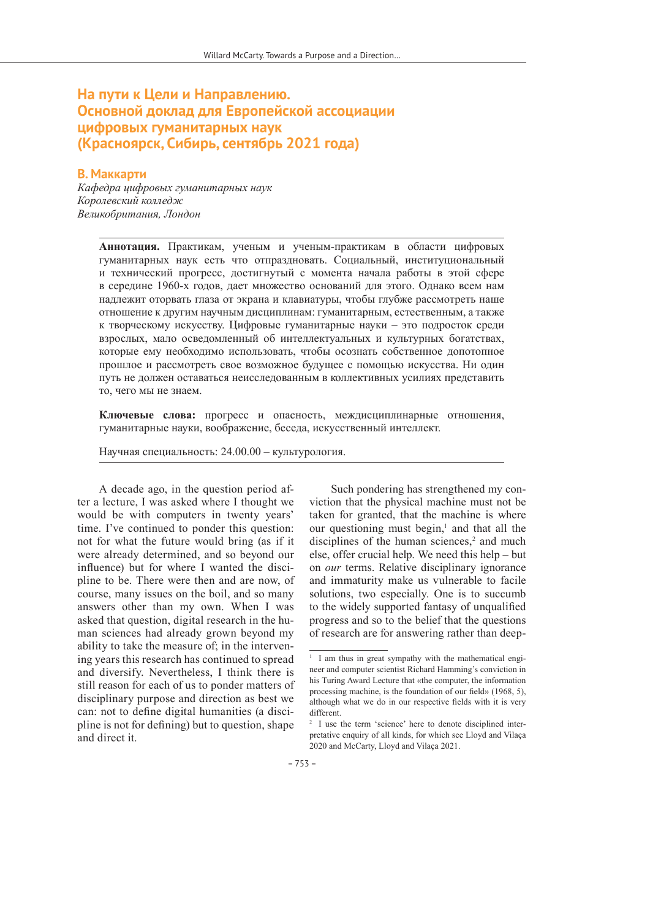## **На пути к Цели и Направлению. Основной доклад для Европейской ассоциации цифровых гуманитарных наук (Красноярск, Сибирь, сентябрь 2021 года)**

### **В. Маккарти**

*Кафедра цифровых гуманитарных наук Королевский колледж Великобритания, Лондон*

> **Аннотация.** Практикам, ученым и ученым-практикам в области цифровых гуманитарных наук есть что отпраздновать. Социальный, институциональный и технический прогресс, достигнутый с момента начала работы в этой сфере в середине 1960-х годов, дает множество оснований для этого. Однако всем нам надлежит оторвать глаза от экрана и клавиатуры, чтобы глубже рассмотреть наше отношение к другим научным дисциплинам: гуманитарным, естественным, а также к творческому искусству. Цифровые гуманитарные науки – это подросток среди взрослых, мало осведомленный об интеллектуальных и культурных богатствах, которые ему необходимо использовать, чтобы осознать собственное допотопное прошлое и рассмотреть свое возможное будущее с помощью искусства. Ни один путь не должен оставаться неисследованным в коллективных усилиях представить то, чего мы не знаем.

> **Ключевые слова:** прогресс и опасность, междисциплинарные отношения, гуманитарные науки, воображение, беседа, искусственный интеллект.

Научная специальность: 24.00.00 – культурология.

A decade ago, in the question period after a lecture, I was asked where I thought we would be with computers in twenty years' time. I've continued to ponder this question: not for what the future would bring (as if it were already determined, and so beyond our influence) but for where I wanted the discipline to be. There were then and are now, of course, many issues on the boil, and so many answers other than my own. When I was asked that question, digital research in the human sciences had already grown beyond my ability to take the measure of; in the intervening years this research has continued to spread and diversify. Nevertheless, I think there is still reason for each of us to ponder matters of disciplinary purpose and direction as best we can: not to define digital humanities (a discipline is not for defining) but to question, shape and direct it.

Such pondering has strengthened my conviction that the physical machine must not be taken for granted, that the machine is where our questioning must begin, $\frac{1}{2}$  and that all the disciplines of the human sciences, $2$  and much else, offer crucial help. We need this help – but on *our* terms. Relative disciplinary ignorance and immaturity make us vulnerable to facile solutions, two especially. One is to succumb to the widely supported fantasy of unqualified progress and so to the belief that the questions of research are for answering rather than deep-

<sup>&</sup>lt;sup>1</sup> I am thus in great sympathy with the mathematical engineer and computer scientist Richard Hamming's conviction in his Turing Award Lecture that «the computer, the information processing machine, is the foundation of our field» (1968, 5), although what we do in our respective fields with it is very different.

<sup>&</sup>lt;sup>2</sup> I use the term 'science' here to denote disciplined interpretative enquiry of all kinds, for which see Lloyd and Vilaça 2020 and McCarty, Lloyd and Vilaça 2021.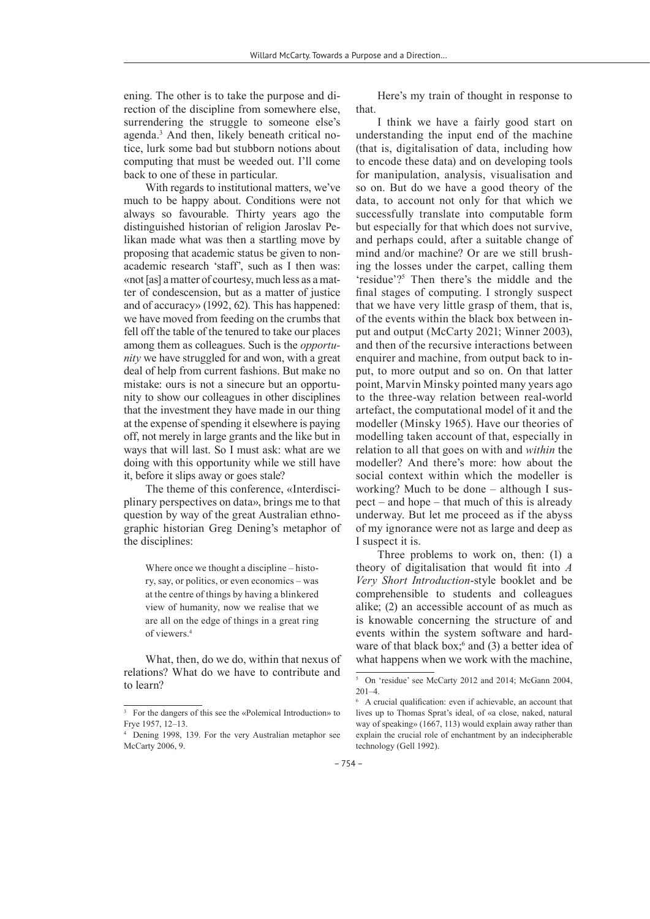ening. The other is to take the purpose and direction of the discipline from somewhere else, surrendering the struggle to someone else's agenda.3 And then, likely beneath critical notice, lurk some bad but stubborn notions about computing that must be weeded out. I'll come back to one of these in particular.

With regards to institutional matters, we've much to be happy about. Conditions were not always so favourable. Thirty years ago the distinguished historian of religion Jaroslav Pelikan made what was then a startling move by proposing that academic status be given to nonacademic research 'staff', such as I then was: «not [as] a matter of courtesy, much less as a matter of condescension, but as a matter of justice and of accuracy» (1992, 62). This has happened: we have moved from feeding on the crumbs that fell off the table of the tenured to take our places among them as colleagues. Such is the *opportunity* we have struggled for and won, with a great deal of help from current fashions. But make no mistake: ours is not a sinecure but an opportunity to show our colleagues in other disciplines that the investment they have made in our thing at the expense of spending it elsewhere is paying off, not merely in large grants and the like but in ways that will last. So I must ask: what are we doing with this opportunity while we still have it, before it slips away or goes stale?

The theme of this conference, «Interdisciplinary perspectives on data», brings me to that question by way of the great Australian ethnographic historian Greg Dening's metaphor of the disciplines:

Where once we thought a discipline – history, say, or politics, or even economics – was at the centre of things by having a blinkered view of humanity, now we realise that we are all on the edge of things in a great ring of viewers.4

What, then, do we do, within that nexus of relations? What do we have to contribute and to learn?

Here's my train of thought in response to that.

I think we have a fairly good start on understanding the input end of the machine (that is, digitalisation of data, including how to encode these data) and on developing tools for manipulation, analysis, visualisation and so on. But do we have a good theory of the data, to account not only for that which we successfully translate into computable form but especially for that which does not survive, and perhaps could, after a suitable change of mind and/or machine? Or are we still brushing the losses under the carpet, calling them 'residue'?5 Then there's the middle and the final stages of computing. I strongly suspect that we have very little grasp of them, that is, of the events within the black box between input and output (McCarty 2021; Winner 2003), and then of the recursive interactions between enquirer and machine, from output back to input, to more output and so on. On that latter point, Marvin Minsky pointed many years ago to the three-way relation between real-world artefact, the computational model of it and the modeller (Minsky 1965). Have our theories of modelling taken account of that, especially in relation to all that goes on with and *within* the modeller? And there's more: how about the social context within which the modeller is working? Much to be done – although I suspect – and hope – that much of this is already underway. But let me proceed as if the abyss of my ignorance were not as large and deep as I suspect it is.

Three problems to work on, then: (1) a theory of digitalisation that would fit into *A Very Short Introduction*-style booklet and be comprehensible to students and colleagues alike; (2) an accessible account of as much as is knowable concerning the structure of and events within the system software and hardware of that black box; $6$  and (3) a better idea of what happens when we work with the machine,

<sup>3</sup> For the dangers of this see the «Polemical Introduction» to Frye 1957, 12–13.

<sup>4</sup> Dening 1998, 139. For the very Australian metaphor see McCarty 2006, 9.

<sup>5</sup> On 'residue' see McCarty 2012 and 2014; McGann 2004, 201–4.

<sup>6</sup> A crucial qualification: even if achievable, an account that lives up to Thomas Sprat's ideal, of «a close, naked, natural way of speaking» (1667, 113) would explain away rather than explain the crucial role of enchantment by an indecipherable technology (Gell 1992).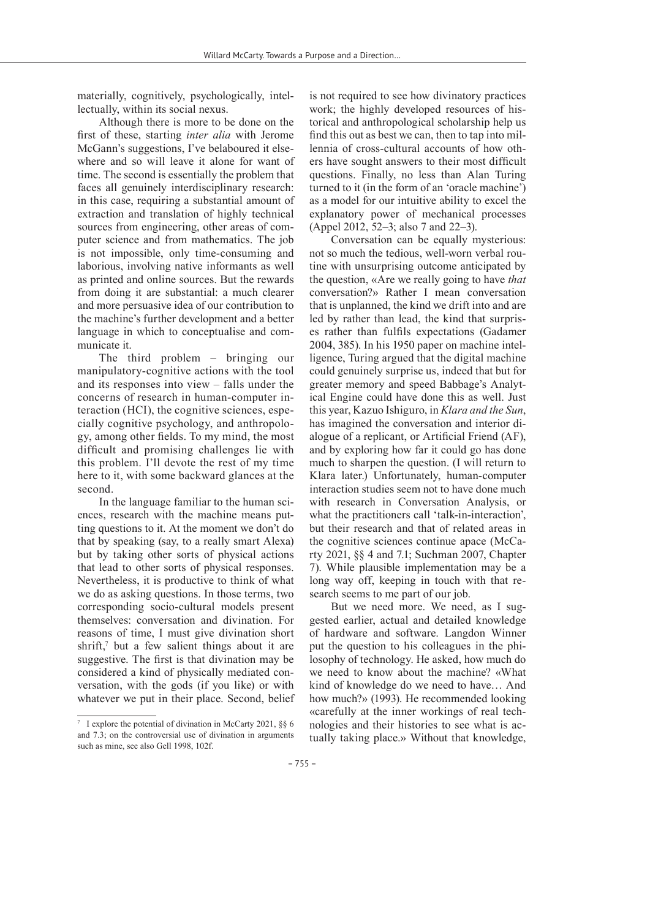materially, cognitively, psychologically, intellectually, within its social nexus.

Although there is more to be done on the first of these, starting *inter alia* with Jerome McGann's suggestions, I've belaboured it elsewhere and so will leave it alone for want of time. The second is essentially the problem that faces all genuinely interdisciplinary research: in this case, requiring a substantial amount of extraction and translation of highly technical sources from engineering, other areas of computer science and from mathematics. The job is not impossible, only time-consuming and laborious, involving native informants as well as printed and online sources. But the rewards from doing it are substantial: a much clearer and more persuasive idea of our contribution to the machine's further development and a better language in which to conceptualise and communicate it.

The third problem – bringing our manipulatory-cognitive actions with the tool and its responses into view – falls under the concerns of research in human-computer interaction (HCI), the cognitive sciences, especially cognitive psychology, and anthropology, among other fields. To my mind, the most difficult and promising challenges lie with this problem. I'll devote the rest of my time here to it, with some backward glances at the second.

In the language familiar to the human sciences, research with the machine means putting questions to it. At the moment we don't do that by speaking (say, to a really smart Alexa) but by taking other sorts of physical actions that lead to other sorts of physical responses. Nevertheless, it is productive to think of what we do as asking questions. In those terms, two corresponding socio-cultural models present themselves: conversation and divination. For reasons of time, I must give divination short shrift,<sup>7</sup> but a few salient things about it are suggestive. The first is that divination may be considered a kind of physically mediated conversation, with the gods (if you like) or with whatever we put in their place. Second, belief

is not required to see how divinatory practices work; the highly developed resources of historical and anthropological scholarship help us find this out as best we can, then to tap into millennia of cross-cultural accounts of how others have sought answers to their most difficult questions. Finally, no less than Alan Turing turned to it (in the form of an 'oracle machine') as a model for our intuitive ability to excel the explanatory power of mechanical processes (Appel 2012, 52–3; also 7 and 22–3).

Conversation can be equally mysterious: not so much the tedious, well-worn verbal routine with unsurprising outcome anticipated by the question, «Are we really going to have *that* conversation?» Rather I mean conversation that is unplanned, the kind we drift into and are led by rather than lead, the kind that surprises rather than fulfils expectations (Gadamer 2004, 385). In his 1950 paper on machine intelligence, Turing argued that the digital machine could genuinely surprise us, indeed that but for greater memory and speed Babbage's Analytical Engine could have done this as well. Just this year, Kazuo Ishiguro, in *Klara and the Sun*, has imagined the conversation and interior dialogue of a replicant, or Artificial Friend (AF), and by exploring how far it could go has done much to sharpen the question. (I will return to Klara later.) Unfortunately, human-computer interaction studies seem not to have done much with research in Conversation Analysis, or what the practitioners call 'talk-in-interaction', but their research and that of related areas in the cognitive sciences continue apace (McCarty 2021, §§ 4 and 7.1; Suchman 2007, Chapter 7). While plausible implementation may be a long way off, keeping in touch with that research seems to me part of our job.

But we need more. We need, as I suggested earlier, actual and detailed knowledge of hardware and software. Langdon Winner put the question to his colleagues in the philosophy of technology. He asked, how much do we need to know about the machine? «What kind of knowledge do we need to have… And how much?» (1993). He recommended looking «carefully at the inner workings of real technologies and their histories to see what is actually taking place.» Without that knowledge,

<sup>7</sup> I explore the potential of divination in McCarty 2021, §§ 6 and 7.3; on the controversial use of divination in arguments such as mine, see also Gell 1998, 102f.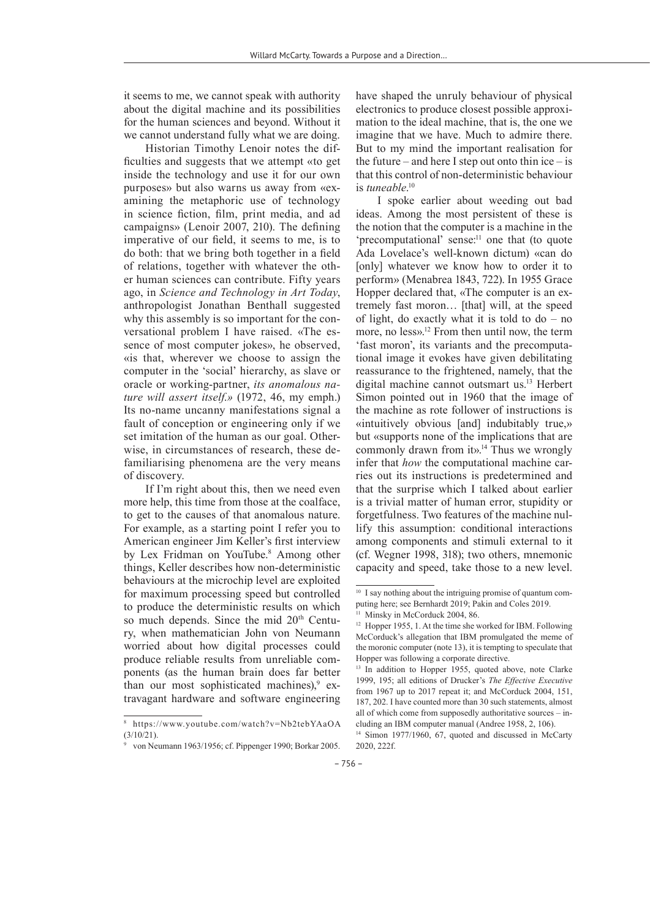it seems to me, we cannot speak with authority about the digital machine and its possibilities for the human sciences and beyond. Without it we cannot understand fully what we are doing.

Historian Timothy Lenoir notes the difficulties and suggests that we attempt «to get inside the technology and use it for our own purposes» but also warns us away from «examining the metaphoric use of technology in science fiction, film, print media, and ad campaigns» (Lenoir 2007, 210). The defining imperative of our field, it seems to me, is to do both: that we bring both together in a field of relations, together with whatever the other human sciences can contribute. Fifty years ago, in *Science and Technology in Art Today*, anthropologist Jonathan Benthall suggested why this assembly is so important for the conversational problem I have raised. «The essence of most computer jokes», he observed, «is that, wherever we choose to assign the computer in the 'social' hierarchy, as slave or oracle or working-partner, *its anomalous nature will assert itself*.*»* (1972, 46, my emph.) Its no-name uncanny manifestations signal a fault of conception or engineering only if we set imitation of the human as our goal. Otherwise, in circumstances of research, these defamiliarising phenomena are the very means of discovery.

If I'm right about this, then we need even more help, this time from those at the coalface, to get to the causes of that anomalous nature. For example, as a starting point I refer you to American engineer Jim Keller's first interview by Lex Fridman on YouTube.8 Among other things, Keller describes how non-deterministic behaviours at the microchip level are exploited for maximum processing speed but controlled to produce the deterministic results on which so much depends. Since the mid 20<sup>th</sup> Century, when mathematician John von Neumann worried about how digital processes could produce reliable results from unreliable components (as the human brain does far better than our most sophisticated machines),<sup>9</sup> extravagant hardware and software engineering

have shaped the unruly behaviour of physical electronics to produce closest possible approximation to the ideal machine, that is, the one we imagine that we have. Much to admire there. But to my mind the important realisation for the future – and here I step out onto thin ice – is that this control of non-deterministic behaviour is *tuneable*. 10

I spoke earlier about weeding out bad ideas. Among the most persistent of these is the notion that the computer is a machine in the 'precomputational' sense:<sup>11</sup> one that (to quote Ada Lovelace's well-known dictum) «can do [only] whatever we know how to order it to perform» (Menabrea 1843, 722). In 1955 Grace Hopper declared that, «The computer is an extremely fast moron… [that] will, at the speed of light, do exactly what it is told to do – no more, no less».12 From then until now, the term 'fast moron', its variants and the precomputational image it evokes have given debilitating reassurance to the frightened, namely, that the digital machine cannot outsmart us.13 Herbert Simon pointed out in 1960 that the image of the machine as rote follower of instructions is «intuitively obvious [and] indubitably true,» but «supports none of the implications that are commonly drawn from it».<sup>14</sup> Thus we wrongly infer that *how* the computational machine carries out its instructions is predetermined and that the surprise which I talked about earlier is a trivial matter of human error, stupidity or forgetfulness. Two features of the machine nullify this assumption: conditional interactions among components and stimuli external to it (cf. Wegner 1998, 318); two others, mnemonic capacity and speed, take those to a new level.

<sup>8</sup> https://www.youtube.com/watch?v=Nb2tebYAaOA (3/10/21).

<sup>9</sup> von Neumann 1963/1956; cf. Pippenger 1990; Borkar 2005.

<sup>&</sup>lt;sup>10</sup> I say nothing about the intriguing promise of quantum computing here; see Bernhardt 2019; Pakin and Coles 2019.

<sup>&</sup>lt;sup>11</sup> Minsky in McCorduck 2004, 86.

<sup>&</sup>lt;sup>12</sup> Hopper 1955, 1. At the time she worked for IBM. Following McCorduck's allegation that IBM promulgated the meme of the moronic computer (note 13), it is tempting to speculate that Hopper was following a corporate directive.

<sup>&</sup>lt;sup>13</sup> In addition to Hopper 1955, quoted above, note Clarke 1999, 195; all editions of Drucker's *The Effective Executive* from 1967 up to 2017 repeat it; and McCorduck 2004, 151, 187, 202. I have counted more than 30 such statements, almost all of which come from supposedly authoritative sources – including an IBM computer manual (Andree 1958, 2, 106).

<sup>&</sup>lt;sup>14</sup> Simon 1977/1960, 67, quoted and discussed in McCarty 2020, 222f.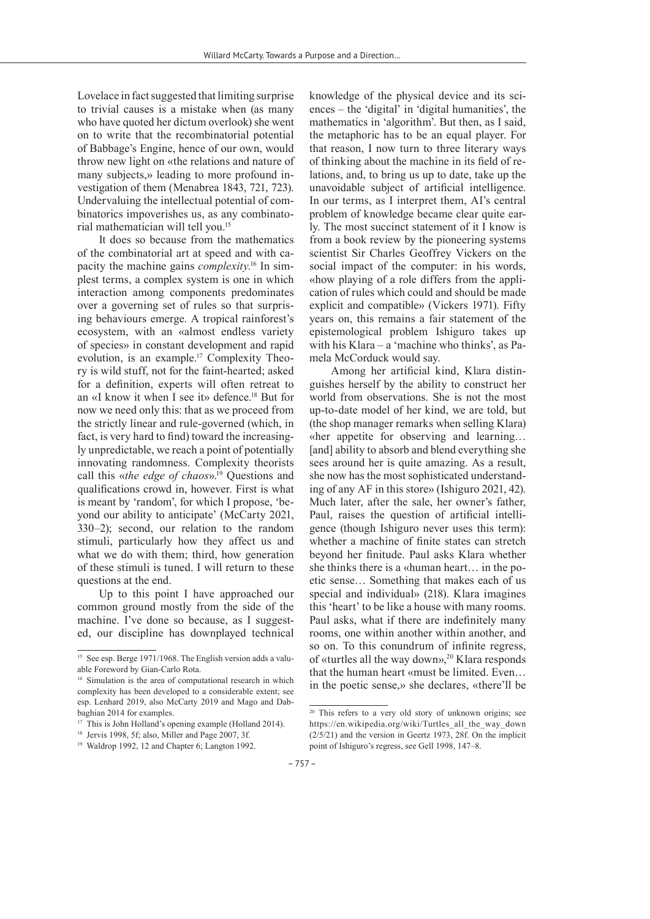Lovelace in fact suggested that limiting surprise to trivial causes is a mistake when (as many who have quoted her dictum overlook) she went on to write that the recombinatorial potential of Babbage's Engine, hence of our own, would throw new light on «the relations and nature of many subjects,» leading to more profound investigation of them (Menabrea 1843, 721, 723). Undervaluing the intellectual potential of combinatorics impoverishes us, as any combinatorial mathematician will tell you.15

It does so because from the mathematics of the combinatorial art at speed and with capacity the machine gains *complexity*. 16 In simplest terms, a complex system is one in which interaction among components predominates over a governing set of rules so that surprising behaviours emerge. A tropical rainforest's ecosystem, with an «almost endless variety of species» in constant development and rapid evolution, is an example.17 Complexity Theory is wild stuff, not for the faint-hearted; asked for a definition, experts will often retreat to an «I know it when I see it» defence.<sup>18</sup> But for now we need only this: that as we proceed from the strictly linear and rule-governed (which, in fact, is very hard to find) toward the increasingly unpredictable, we reach a point of potentially innovating randomness. Complexity theorists call this «*the edge of chaos*».<sup>19</sup> Questions and qualifications crowd in, however. First is what is meant by 'random', for which I propose, 'beyond our ability to anticipate' (McCarty 2021, 330–2); second, our relation to the random stimuli, particularly how they affect us and what we do with them; third, how generation of these stimuli is tuned. I will return to these questions at the end.

Up to this point I have approached our common ground mostly from the side of the machine. I've done so because, as I suggested, our discipline has downplayed technical knowledge of the physical device and its sciences – the 'digital' in 'digital humanities', the mathematics in 'algorithm'. But then, as I said, the metaphoric has to be an equal player. For that reason, I now turn to three literary ways of thinking about the machine in its field of relations, and, to bring us up to date, take up the unavoidable subject of artificial intelligence. In our terms, as I interpret them, AI's central problem of knowledge became clear quite early. The most succinct statement of it I know is from a book review by the pioneering systems scientist Sir Charles Geoffrey Vickers on the social impact of the computer: in his words, «how playing of a role differs from the application of rules which could and should be made explicit and compatible» (Vickers 1971). Fifty years on, this remains a fair statement of the epistemological problem Ishiguro takes up with his Klara – a 'machine who thinks', as Pamela McCorduck would say.

Among her artificial kind, Klara distinguishes herself by the ability to construct her world from observations. She is not the most up-to-date model of her kind, we are told, but (the shop manager remarks when selling Klara) «her appetite for observing and learning… [and] ability to absorb and blend everything she sees around her is quite amazing. As a result, she now has the most sophisticated understanding of any AF in this store» (Ishiguro 2021, 42). Much later, after the sale, her owner's father, Paul, raises the question of artificial intelligence (though Ishiguro never uses this term): whether a machine of finite states can stretch beyond her finitude. Paul asks Klara whether she thinks there is a «human heart… in the poetic sense… Something that makes each of us special and individual» (218). Klara imagines this 'heart' to be like a house with many rooms. Paul asks, what if there are indefinitely many rooms, one within another within another, and so on. To this conundrum of infinite regress, of «turtles all the way down»,<sup>20</sup> Klara responds that the human heart «must be limited. Even… in the poetic sense,» she declares, «there'll be

<sup>&</sup>lt;sup>15</sup> See esp. Berge 1971/1968. The English version adds a valuable Foreword by Gian-Carlo Rota.

<sup>&</sup>lt;sup>16</sup> Simulation is the area of computational research in which complexity has been developed to a considerable extent; see esp. Lenhard 2019, also McCarty 2019 and Mago and Dabbaghian 2014 for examples.

<sup>&</sup>lt;sup>17</sup> This is John Holland's opening example (Holland 2014).

<sup>18</sup> Jervis 1998, 5f; also, Miller and Page 2007, 3f.

<sup>19</sup> Waldrop 1992, 12 and Chapter 6; Langton 1992.

<sup>20</sup> This refers to a very old story of unknown origins; see https://en.wikipedia.org/wiki/Turtles\_all\_the\_way\_down (2/5/21) and the version in Geertz 1973, 28f. On the implicit point of Ishiguro's regress, see Gell 1998, 147–8.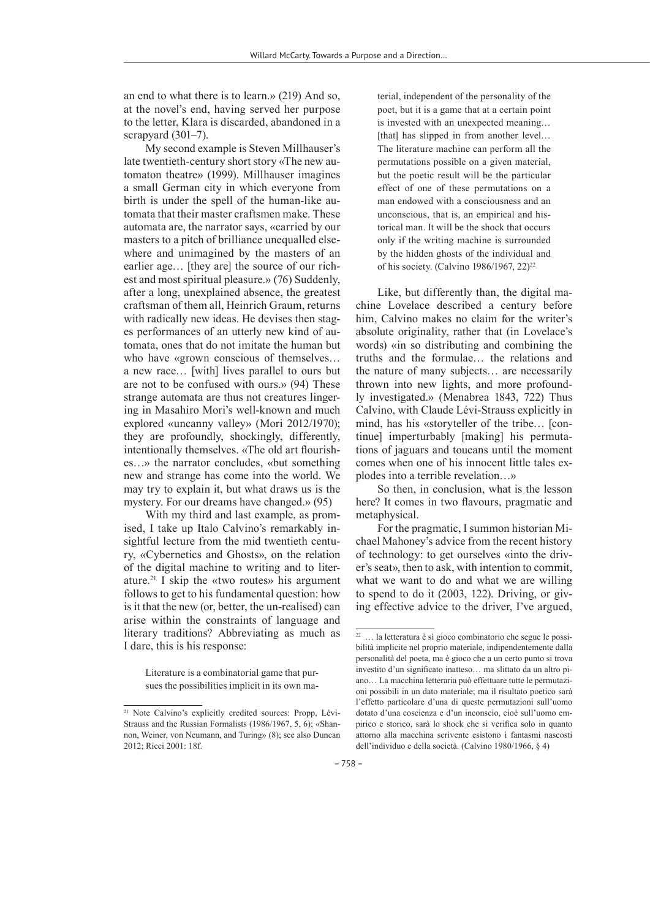an end to what there is to learn.» (219) And so, at the novel's end, having served her purpose to the letter, Klara is discarded, abandoned in a scrapyard (301–7).

My second example is Steven Millhauser's late twentieth-century short story «The new automaton theatre» (1999). Millhauser imagines a small German city in which everyone from birth is under the spell of the human-like automata that their master craftsmen make. These automata are, the narrator says, «carried by our masters to a pitch of brilliance unequalled elsewhere and unimagined by the masters of an earlier age… [they are] the source of our richest and most spiritual pleasure.» (76) Suddenly, after a long, unexplained absence, the greatest craftsman of them all, Heinrich Graum, returns with radically new ideas. He devises then stages performances of an utterly new kind of automata, ones that do not imitate the human but who have «grown conscious of themselves… a new race… [with] lives parallel to ours but are not to be confused with ours.» (94) These strange automata are thus not creatures lingering in Masahiro Mori's well-known and much explored «uncanny valley» (Mori 2012/1970); they are profoundly, shockingly, differently, intentionally themselves. «The old art flourishes…» the narrator concludes, «but something new and strange has come into the world. We may try to explain it, but what draws us is the mystery. For our dreams have changed.» (95)

With my third and last example, as promised, I take up Italo Calvino's remarkably insightful lecture from the mid twentieth century, «Cybernetics and Ghosts», on the relation of the digital machine to writing and to literature.21 I skip the «two routes» his argument follows to get to his fundamental question: how is it that the new (or, better, the un-realised) can arise within the constraints of language and literary traditions? Abbreviating as much as I dare, this is his response:

Literature is a combinatorial game that pursues the possibilities implicit in its own material, independent of the personality of the poet, but it is a game that at a certain point is invested with an unexpected meaning… [that] has slipped in from another level... The literature machine can perform all the permutations possible on a given material, but the poetic result will be the particular effect of one of these permutations on a man endowed with a consciousness and an unconscious, that is, an empirical and historical man. It will be the shock that occurs only if the writing machine is surrounded by the hidden ghosts of the individual and of his society. (Calvino 1986/1967, 22)<sup>22</sup>

Like, but differently than, the digital machine Lovelace described a century before him, Calvino makes no claim for the writer's absolute originality, rather that (in Lovelace's words) «in so distributing and combining the truths and the formulae… the relations and the nature of many subjects… are necessarily thrown into new lights, and more profoundly investigated.» (Menabrea 1843, 722) Thus Calvino, with Claude Lévi-Strauss explicitly in mind, has his «storyteller of the tribe… [continue] imperturbably [making] his permutations of jaguars and toucans until the moment comes when one of his innocent little tales explodes into a terrible revelation…»

So then, in conclusion, what is the lesson here? It comes in two flavours, pragmatic and metaphysical.

For the pragmatic, I summon historian Michael Mahoney's advice from the recent history of technology: to get ourselves «into the driver's seat», then to ask, with intention to commit, what we want to do and what we are willing to spend to do it (2003, 122). Driving, or giving effective advice to the driver, I've argued,

<sup>&</sup>lt;sup>21</sup> Note Calvino's explicitly credited sources: Propp, Lévi-Strauss and the Russian Formalists (1986/1967, 5, 6); «Shannon, Weiner, von Neumann, and Turing» (8); see also Duncan 2012; Ricci 2001: 18f.

<sup>22</sup> … la letteratura è sì gioco combinatorio che segue le possibilità implicite nel proprio materiale, indipendentemente dalla personalità del poeta, ma è gioco che a un certo punto si trova investito d'un significato inatteso… ma slittato da un altro piano… La macchina letteraria può effettuare tutte le permutazioni possibili in un dato materiale; ma il risultato poetico sarà l'effetto particolare d'una di queste permutazioni sull'uomo dotato d'una coscienza e d'un inconscio, cioè sull'uomo empirico e storico, sarà lo shock che si verifica solo in quanto attorno alla macchina scrivente esistono i fantasmi nascosti dell'individuo e della società. (Calvino 1980/1966, § 4)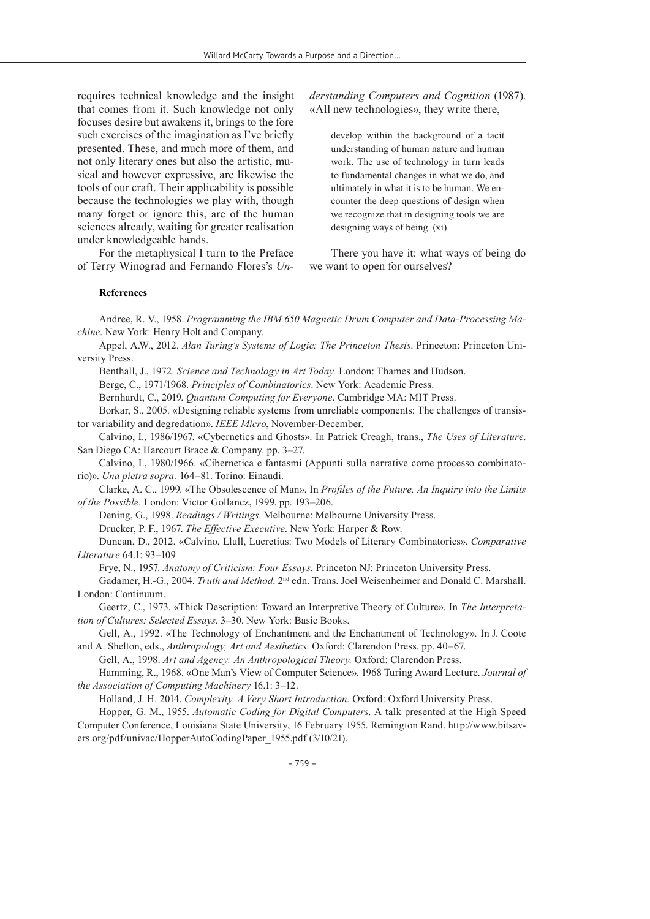requires technical knowledge and the insight that comes from it. Such knowledge not only focuses desire but awakens it, brings to the fore such exercises of the imagination as I've briefly presented. These, and much more of them, and not only literary ones but also the artistic, musical and however expressive, are likewise the tools of our craft. Their applicability is possible because the technologies we play with, though many forget or ignore this, are of the human sciences already, waiting for greater realisation under knowledgeable hands.

For the metaphysical I turn to the Preface of Terry Winograd and Fernando Flores's *Un-* *derstanding Computers and Cognition* (1987). «All new technologies», they write there,

develop within the background of a tacit understanding of human nature and human work. The use of technology in turn leads to fundamental changes in what we do, and ultimately in what it is to be human. We encounter the deep questions of design when we recognize that in designing tools we are designing ways of being. (xi)

There you have it: what ways of being do we want to open for ourselves?

#### **References**

Andree, R. V., 1958. *Programming the IBM 650 Magnetic Drum Computer and Data-Processing Machine*. New York: Henry Holt and Company.

Appel, A.W., 2012. *Alan Turing's Systems of Logic: The Princeton Thesis*. Princeton: Princeton University Press.

Benthall, J., 1972. *Science and Technology in Art Today.* London: Thames and Hudson.

Berge, C., 1971/1968. *Principles of Combinatorics*. New York: Academic Press.

Bernhardt, C., 2019. *Quantum Computing for Everyone*. Cambridge MA: MIT Press.

Borkar, S., 2005. «Designing reliable systems from unreliable components: The challenges of transistor variability and degredation». *IEEE Micro*, November-December.

Calvino, I., 1986/1967. «Cybernetics and Ghosts». In Patrick Creagh, trans., *The Uses of Literature*. San Diego CA: Harcourt Brace & Company. pp. 3–27.

Calvino, I., 1980/1966. «Cibernetica e fantasmi (Appunti sulla narrative come processo combinatorio)». *Una pietra sopra.* 164–81. Torino: Einaudi.

Clarke, A. C., 1999. «The Obsolescence of Man». In *Profiles of the Future. An Inquiry into the Limits of the Possible*. London: Victor Gollancz, 1999. pp. 193–206.

Dening, G., 1998. *Readings / Writings*. Melbourne: Melbourne University Press.

Drucker, P. F., 1967. *The Effective Executive*. New York: Harper & Row.

Duncan, D., 2012. «Calvino, Llull, Lucretius: Two Models of Literary Combinatorics». *Comparative Literature* 64.1: 93–109

Frye, N., 1957. *Anatomy of Criticism: Four Essays.* Princeton NJ: Princeton University Press.

Gadamer, H.-G., 2004. *Truth and Method*. 2nd edn. Trans. Joel Weisenheimer and Donald C. Marshall. London: Continuum.

Geertz, C., 1973. «Thick Description: Toward an Interpretive Theory of Culture». In *The Interpretation of Cultures: Selected Essays*. 3–30. New York: Basic Books.

Gell, A., 1992. «The Technology of Enchantment and the Enchantment of Technology». In J. Coote and A. Shelton, eds., *Anthropology, Art and Aesthetics.* Oxford: Clarendon Press. pp. 40–67.

Gell, A., 1998. *Art and Agency: An Anthropological Theory.* Oxford: Clarendon Press.

Hamming, R., 1968. «One Man's View of Computer Science». 1968 Turing Award Lecture. *Journal of the Association of Computing Machinery* 16.1: 3–12.

Holland, J. H. 2014. *Complexity, A Very Short Introduction.* Oxford: Oxford University Press.

Hopper, G. M., 1955. *Automatic Coding for Digital Computers*. A talk presented at the High Speed Computer Conference, Louisiana State University, 16 February 1955. Remington Rand. http://www.bitsavers.org/pdf/univac/HopperAutoCodingPaper\_1955.pdf (3/10/21).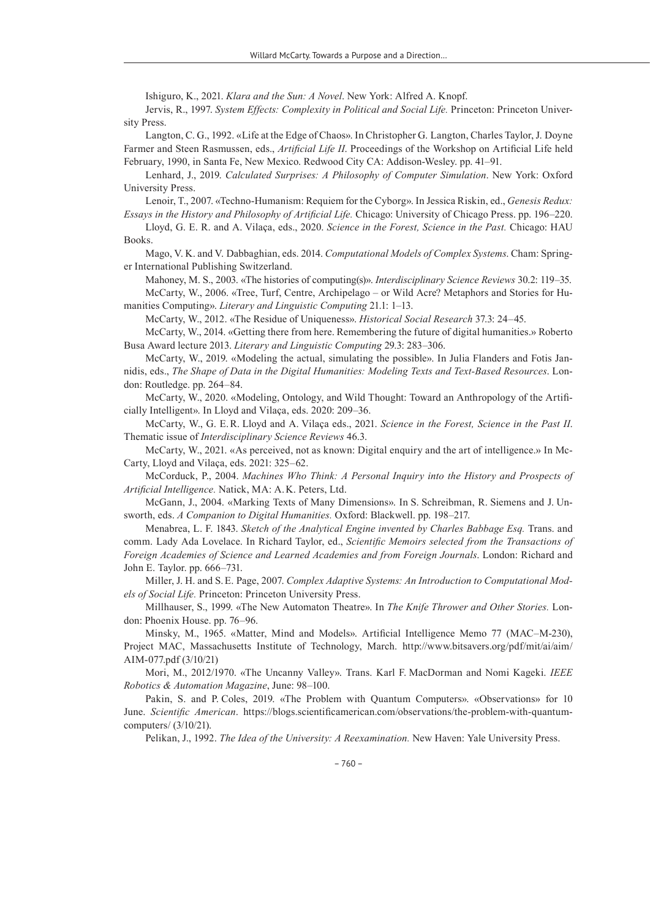Ishiguro, K., 2021. *Klara and the Sun: A Novel*. New York: Alfred A. Knopf.

Jervis, R., 1997. *System Effects: Complexity in Political and Social Life.* Princeton: Princeton University Press.

Langton, C. G., 1992. «Life at the Edge of Chaos». In Christopher G. Langton, Charles Taylor, J. Doyne Farmer and Steen Rasmussen, eds., *Artificial Life II*. Proceedings of the Workshop on Artificial Life held February, 1990, in Santa Fe, New Mexico. Redwood City CA: Addison-Wesley. pp. 41–91.

Lenhard, J., 2019. *Calculated Surprises: A Philosophy of Computer Simulation*. New York: Oxford University Press.

Lenoir, T., 2007. «Techno-Humanism: Requiem for the Cyborg». In Jessica Riskin, ed., *Genesis Redux: Essays in the History and Philosophy of Artificial Life.* Chicago: University of Chicago Press. pp. 196–220.

Lloyd, G. E. R. and A. Vilaça, eds., 2020. *Science in the Forest, Science in the Past.* Chicago: HAU Books.

Mago, V. K. and V. Dabbaghian, eds. 2014. *Computational Models of Complex Systems*. Cham: Springer International Publishing Switzerland.

Mahoney, M. S., 2003. «The histories of computing(s)». *Interdisciplinary Science Reviews* 30.2: 119–35.

McCarty, W., 2006. «Tree, Turf, Centre, Archipelago – or Wild Acre? Metaphors and Stories for Humanities Computing». *Literary and Linguistic Computing* 21.1: 1–13.

McCarty, W., 2012. «The Residue of Uniqueness». *Historical Social Research* 37.3: 24–45.

McCarty, W., 2014. «Getting there from here. Remembering the future of digital humanities.» Roberto Busa Award lecture 2013. *Literary and Linguistic Computing* 29.3: 283–306.

McCarty, W., 2019. «Modeling the actual, simulating the possible». In Julia Flanders and Fotis Jannidis, eds., *The Shape of Data in the Digital Humanities: Modeling Texts and Text-Based Resources*. London: Routledge. pp. 264–84.

McCarty, W., 2020. «Modeling, Ontology, and Wild Thought: Toward an Anthropology of the Artificially Intelligent». In Lloyd and Vilaça, eds. 2020: 209–36.

McCarty, W., G. E.R. Lloyd and A. Vilaça eds., 2021. *Science in the Forest, Science in the Past II*. Thematic issue of *Interdisciplinary Science Reviews* 46.3.

McCarty, W., 2021. «As perceived, not as known: Digital enquiry and the art of intelligence.» In Mc-Carty, Lloyd and Vilaça, eds. 2021: 325–62.

McCorduck, P., 2004. *Machines Who Think: A Personal Inquiry into the History and Prospects of Artificial Intelligence.* Natick, MA: A.K. Peters, Ltd.

McGann, J., 2004. «Marking Texts of Many Dimensions». In S. Schreibman, R. Siemens and J. Unsworth, eds. *A Companion to Digital Humanities.* Oxford: Blackwell. pp. 198–217.

Menabrea, L. F. 1843. *Sketch of the Analytical Engine invented by Charles Babbage Esq.* Trans. and comm. Lady Ada Lovelace. In Richard Taylor, ed., *Scientific Memoirs selected from the Transactions of Foreign Academies of Science and Learned Academies and from Foreign Journals*. London: Richard and John E. Taylor. pp. 666–731.

Miller, J. H. and S.E. Page, 2007. *Complex Adaptive Systems: An Introduction to Computational Models of Social Life.* Princeton: Princeton University Press.

Millhauser, S., 1999. «The New Automaton Theatre». In *The Knife Thrower and Other Stories.* London: Phoenix House. pp. 76–96.

Minsky, M., 1965. «Matter, Mind and Models». Artificial Intelligence Memo 77 (MAC–M-230), Project MAC, Massachusetts Institute of Technology, March. http://www.bitsavers.org/pdf/mit/ai/aim/ AIM‑077.pdf (3/10/21)

Mori, M., 2012/1970. «The Uncanny Valley». Trans. Karl F. MacDorman and Nomi Kageki. *IEEE Robotics & Automation Magazine*, June: 98–100.

Pakin, S. and P. Coles, 2019. «The Problem with Quantum Computers». «Observations» for 10 June. *Scientific American*. https://blogs.scientificamerican.com/observations/the-problem-with-quantumcomputers/ (3/10/21).

Pelikan, J., 1992. *The Idea of the University: A Reexamination.* New Haven: Yale University Press.